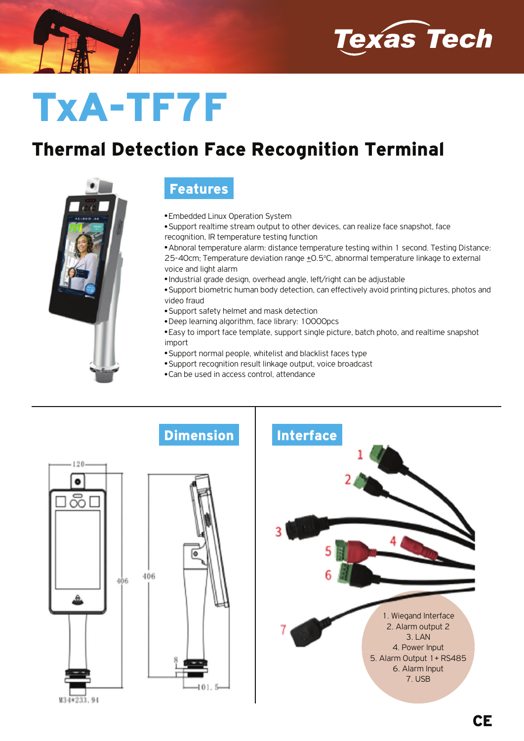



## TxA-TF7F

## Thermal Detection Face Recognition Terminal



## Features

- **Embedded Linux Operation System**
- Support realtime stream output to other devices, can realize face snapshot, face recognition, IR temperature testing function
- Abnoral temperature alarm: distance temperature testing within 1 second. Testing Distance: 25-40cm; Temperature deviation range +0.5°C, abnormal temperature linkage to external voice and light alarm
- Industrial grade design, overhead angle, left/right can be adjustable
- Support biometric human body detection, can effectively avoid printing pictures, photos and video fraud
- Support safety helmet and mask detection
- Deep learning algorithm, face library: 10000pcs
- Easy to import face template, support single picture, batch photo, and realtime snapshot import
- Support normal people, whitelist and blacklist faces type
- Support recognition result linkage output, voice broadcast
- Can be used in access control, attendance